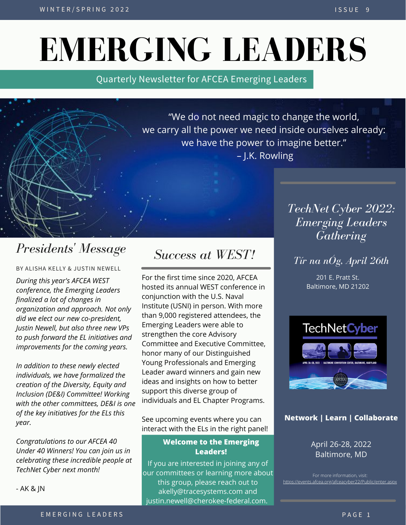# **EMERGING LEADERS**

Quarterly Newsletter for AFCEA Emerging Leaders

"We do not need magic to change the world, we carry all the power we need inside ourselves already: we have the power to imagine better." – J.K. Rowling

# *Presidents ' Message*

BY ALISHA KELLY & JUSTIN NEWELL

*During this year's AFCEA WEST conference, the Emerging Leaders finalized a lot of changes in organization and approach. Not only did we elect our new co-president, Justin Newell, but also three new VPs to push forward the EL initiatives and improvements for the coming years.*

*In addition to these newly elected individuals, we have formalized the creation of the Diversity, Equity and Inclusion (DE&I) Committee! Working with the other committees, DE&I is one of the key initiatives for the ELs this year.*

*Congratulations to our AFCEA 40 Under 40 Winners! You can join us in celebrating these incredible people at TechNet Cyber next month!*

- AK & JN

## *Success at WEST!*

For the first time since 2020, AFCEA hosted its annual WEST conference in conjunction with the U.S. Naval Institute (USNI) in person. With more than 9,000 registered attendees, the Emerging Leaders were able to strengthen the core Advisory Committee and Executive Committee, honor many of our Distinguished Young Professionals and Emerging Leader award winners and gain new ideas and insights on how to better support this diverse group of individuals and EL Chapter Programs.

See upcoming events where you can interact with the ELs in the right panel!

#### **Welcome to the Emerging Leaders!**

If you are interested in joining any of our committees or learning more about this group, please reach out to akelly@tracesystems.com and justin.newell@cherokee-federal.com.

*TechNet Cyber 2022: Emerging Leaders Gathering*

## *Tír na nÓg, April 26th*

201 E. Pratt St. Baltimore, MD 21202



### **Network | Learn | Collaborate**

April 26-28, 2022 Baltimore, MD

For more information, visit: [https://events.afcea.org/afceacyber22/Public/enter.aspx](https://events.afcea.org/afceacyber21/Public/enter.aspx)